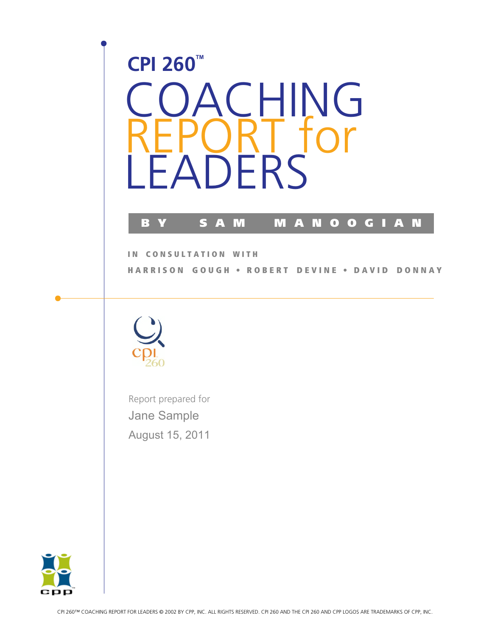



Report prepared for Jane Sample August 15, 2011

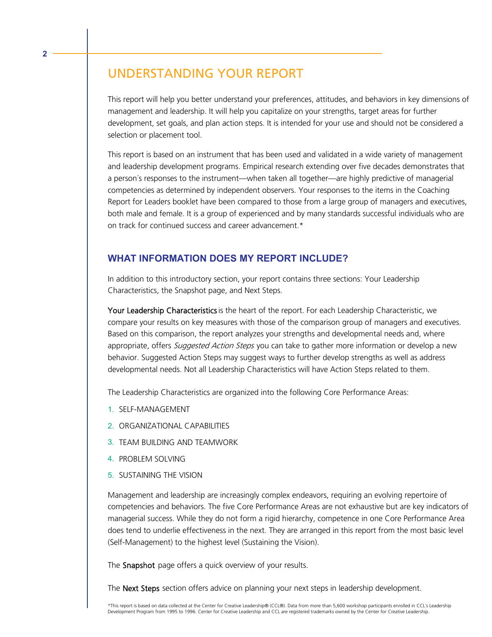# UNDERSTANDING YOUR REPORT

**2**

This report will help you better understand your preferences, attitudes, and behaviors in key dimensions of management and leadership. It will help you capitalize on your strengths, target areas for further development, set goals, and plan action steps. It is intended for your use and should not be considered a selection or placement tool.

This report is based on an instrument that has been used and validated in a wide variety of management and leadership development programs. Empirical research extending over five decades demonstrates that a person´s responses to the instrument—when taken all together—are highly predictive of managerial competencies as determined by independent observers. Your responses to the items in the Coaching Report for Leaders booklet have been compared to those from a large group of managers and executives, both male and female. It is a group of experienced and by many standards successful individuals who are on track for continued success and career advancement.\*

## **WHAT INFORMATION DOES MY REPORT INCLUDE?**

In addition to this introductory section, your report contains three sections: Your Leadership Characteristics, the Snapshot page, and Next Steps.

Your Leadership Characteristics is the heart of the report. For each Leadership Characteristic, we compare your results on key measures with those of the comparison group of managers and executives. Based on this comparison, the report analyzes your strengths and developmental needs and, where appropriate, offers Suggested Action Steps you can take to gather more information or develop a new behavior. Suggested Action Steps may suggest ways to further develop strengths as well as address developmental needs. Not all Leadership Characteristics will have Action Steps related to them.

The Leadership Characteristics are organized into the following Core Performance Areas:

- 1. SELF-MANAGEMENT
- 2. ORGANIZATIONAL CAPABILITIES
- 3. TEAM BUILDING AND TEAMWORK
- 4. PROBLEM SOLVING
- 5. SUSTAINING THE VISION

Management and leadership are increasingly complex endeavors, requiring an evolving repertoire of competencies and behaviors. The five Core Performance Areas are not exhaustive but are key indicators of managerial success. While they do not form a rigid hierarchy, competence in one Core Performance Area does tend to underlie effectiveness in the next. They are arranged in this report from the most basic level (Self-Management) to the highest level (Sustaining the Vision).

The **Snapshot** page offers a quick overview of your results.

The Next Steps section offers advice on planning your next steps in leadership development.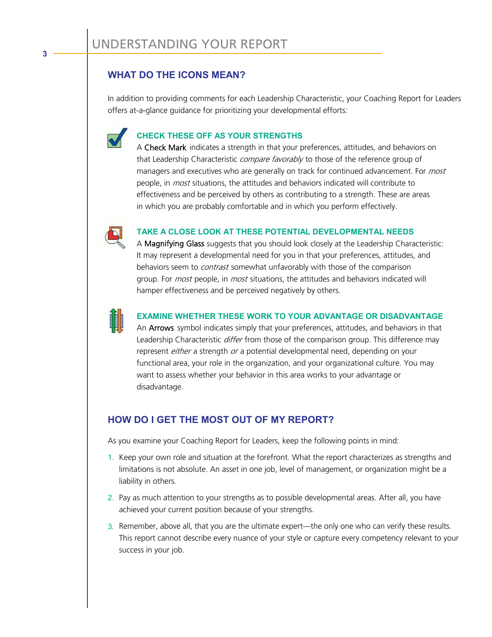## **WHAT DO THE ICONS MEAN?**

In addition to providing comments for each Leadership Characteristic, your Coaching Report for Leaders offers at-a-glance guidance for prioritizing your developmental efforts:



## **CHECK THESE OFF AS YOUR STRENGTHS**

A Check Mark indicates a strength in that your preferences, attitudes, and behaviors on that Leadership Characteristic compare favorably to those of the reference group of managers and executives who are generally on track for continued advancement. For most people, in *most* situations, the attitudes and behaviors indicated will contribute to effectiveness and be perceived by others as contributing to a strength. These are areas in which you are probably comfortable and in which you perform effectively.



#### **TAKE A CLOSE LOOK AT THESE POTENTIAL DEVELOPMENTAL NEEDS**

A Magnifying Glass suggests that you should look closely at the Leadership Characteristic: It may represent a developmental need for you in that your preferences, attitudes, and behaviors seem to *contrast* somewhat unfavorably with those of the comparison group. For *most* people, in *most* situations, the attitudes and behaviors indicated will hamper effectiveness and be perceived negatively by others.



### **EXAMINE WHETHER THESE WORK TO YOUR ADVANTAGE OR DISADVANTAGE**

An Arrows symbol indicates simply that your preferences, attitudes, and behaviors in that Leadership Characteristic *differ* from those of the comparison group. This difference may represent either a strength or a potential developmental need, depending on your functional area, your role in the organization, and your organizational culture. You may want to assess whether your behavior in this area works to your advantage or disadvantage.

## **HOW DO I GET THE MOST OUT OF MY REPORT?**

As you examine your Coaching Report for Leaders, keep the following points in mind:

- 1. Keep your own role and situation at the forefront. What the report characterizes as strengths and limitations is not absolute. An asset in one job, level of management, or organization might be a liability in others.
- 2. Pay as much attention to your strengths as to possible developmental areas. After all, you have achieved your current position because of your strengths.
- 3. Remember, above all, that you are the ultimate expert—the only one who can verify these results. This report cannot describe every nuance of your style or capture every competency relevant to your success in your job.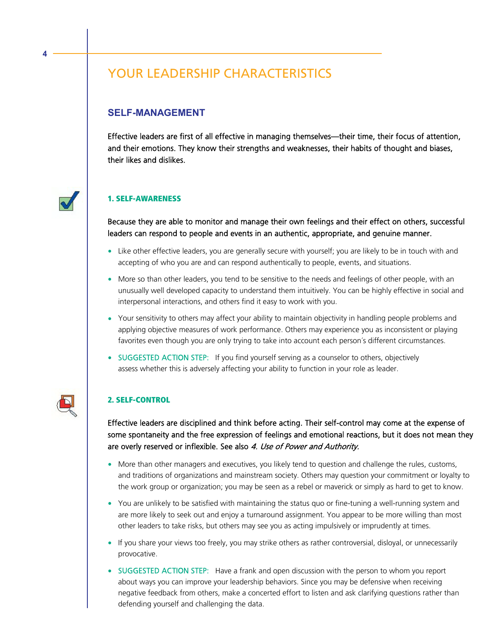# YOUR LEADERSHIP CHARACTERISTICS

## **SELF-MANAGEMENT**

**4**

Effective leaders are first of all effective in managing themselves—their time, their focus of attention, and their emotions. They know their strengths and weaknesses, their habits of thought and biases, their likes and dislikes.

## **1. SELF-AWARENESS**

Because they are able to monitor and manage their own feelings and their effect on others, successful leaders can respond to people and events in an authentic, appropriate, and genuine manner.

- Like other effective leaders, you are generally secure with yourself; you are likely to be in touch with and accepting of who you are and can respond authentically to people, events, and situations.
- More so than other leaders, you tend to be sensitive to the needs and feelings of other people, with an unusually well developed capacity to understand them intuitively. You can be highly effective in social and interpersonal interactions, and others find it easy to work with you.
- Your sensitivity to others may affect your ability to maintain objectivity in handling people problems and applying objective measures of work performance. Others may experience you as inconsistent or playing favorites even though you are only trying to take into account each person´s different circumstances.
- SUGGESTED ACTION STEP: If you find yourself serving as a counselor to others, objectively assess whether this is adversely affecting your ability to function in your role as leader.

### **2. SELF-CONTROL**

Effective leaders are disciplined and think before acting. Their self-control may come at the expense of some spontaneity and the free expression of feelings and emotional reactions, but it does not mean they are overly reserved or inflexible. See also 4. Use of Power and Authority.

- More than other managers and executives, you likely tend to question and challenge the rules, customs, and traditions of organizations and mainstream society. Others may question your commitment or loyalty to the work group or organization; you may be seen as a rebel or maverick or simply as hard to get to know.
- You are unlikely to be satisfied with maintaining the status quo or fine-tuning a well-running system and are more likely to seek out and enjoy a turnaround assignment. You appear to be more willing than most other leaders to take risks, but others may see you as acting impulsively or imprudently at times.
- If you share your views too freely, you may strike others as rather controversial, disloyal, or unnecessarily provocative.
- SUGGESTED ACTION STEP: Have a frank and open discussion with the person to whom you report about ways you can improve your leadership behaviors. Since you may be defensive when receiving negative feedback from others, make a concerted effort to listen and ask clarifying questions rather than defending yourself and challenging the data.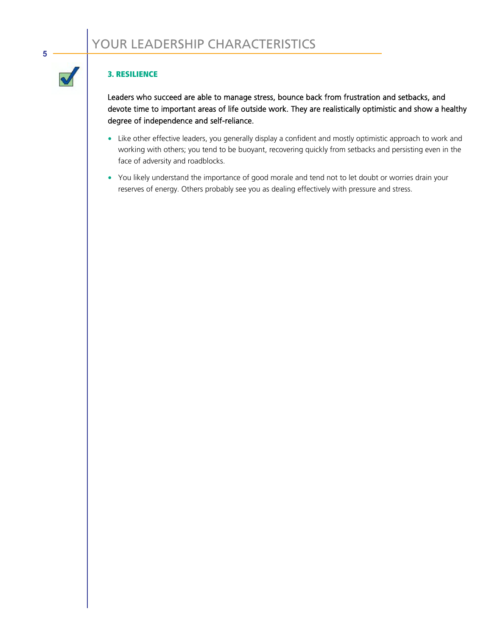#### **3. RESILIENCE**

**5**

 $\blacklozenge$ 

Leaders who succeed are able to manage stress, bounce back from frustration and setbacks, and devote time to important areas of life outside work. They are realistically optimistic and show a healthy degree of independence and self-reliance.

- Like other effective leaders, you generally display a confident and mostly optimistic approach to work and working with others; you tend to be buoyant, recovering quickly from setbacks and persisting even in the face of adversity and roadblocks.
- You likely understand the importance of good morale and tend not to let doubt or worries drain your reserves of energy. Others probably see you as dealing effectively with pressure and stress.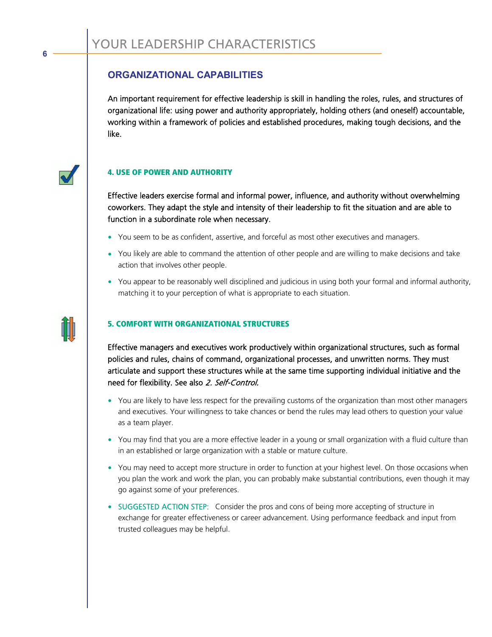## **ORGANIZATIONAL CAPABILITIES**

An important requirement for effective leadership is skill in handling the roles, rules, and structures of organizational life: using power and authority appropriately, holding others (and oneself) accountable, working within a framework of policies and established procedures, making tough decisions, and the like.



**6**

### **4. USE OF POWER AND AUTHORITY**

Effective leaders exercise formal and informal power, influence, and authority without overwhelming coworkers. They adapt the style and intensity of their leadership to fit the situation and are able to function in a subordinate role when necessary.

- You seem to be as confident, assertive, and forceful as most other executives and managers.
- You likely are able to command the attention of other people and are willing to make decisions and take action that involves other people.
- You appear to be reasonably well disciplined and judicious in using both your formal and informal authority, matching it to your perception of what is appropriate to each situation.



### **5. COMFORT WITH ORGANIZATIONAL STRUCTURES**

Effective managers and executives work productively within organizational structures, such as formal policies and rules, chains of command, organizational processes, and unwritten norms. They must articulate and support these structures while at the same time supporting individual initiative and the need for flexibility. See also 2. Self-Control.

- You are likely to have less respect for the prevailing customs of the organization than most other managers and executives. Your willingness to take chances or bend the rules may lead others to question your value as a team player.
- You may find that you are a more effective leader in a young or small organization with a fluid culture than in an established or large organization with a stable or mature culture.
- You may need to accept more structure in order to function at your highest level. On those occasions when you plan the work and work the plan, you can probably make substantial contributions, even though it may go against some of your preferences.
- SUGGESTED ACTION STEP: Consider the pros and cons of being more accepting of structure in exchange for greater effectiveness or career advancement. Using performance feedback and input from trusted colleagues may be helpful.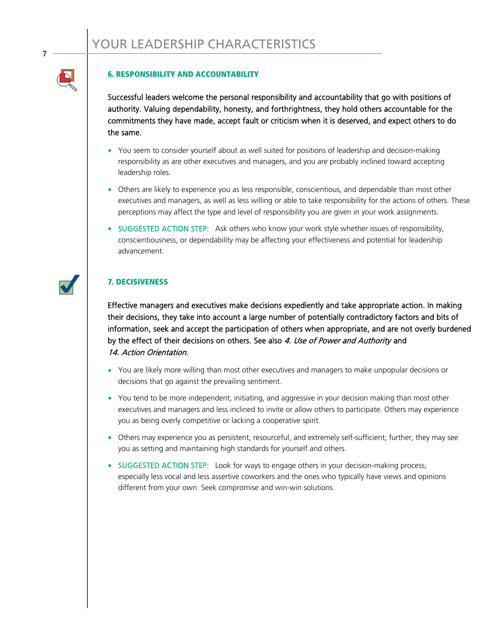#### **6. RESPONSIBILITY AND ACCOUNTABILITY**

Successful leaders welcome the personal responsibility and accountability that go with positions of authority. Valuing dependability, honesty, and forthrightness, they hold others accountable for the commitments they have made, accept fault or criticism when it is deserved, and expect others to do the same.

- You seem to consider yourself about as well suited for positions of leadership and decision-making responsibility as are other executives and managers, and you are probably inclined toward accepting leadership roles.
- Others are likely to experience you as less responsible, conscientious, and dependable than most other executives and managers, as well as less willing or able to take responsibility for the actions of others. These perceptions may affect the type and level of responsibility you are given in your work assignments.
- SUGGESTED ACTION STEP: Ask others who know your work style whether issues of responsibility, conscientiousness, or dependability may be affecting your effectiveness and potential for leadership advancement.

#### **7. DECISIVENESS**

Effective managers and executives make decisions expediently and take appropriate action. In making their decisions, they take into account a large number of potentially contradictory factors and bits of information, seek and accept the participation of others when appropriate, and are not overly burdened by the effect of their decisions on others. See also 4. Use of Power and Authority and 14. Action Orientation.

- You are likely more willing than most other executives and managers to make unpopular decisions or decisions that go against the prevailing sentiment.
- You tend to be more independent, initiating, and aggressive in your decision making than most other executives and managers and less inclined to invite or allow others to participate. Others may experience you as being overly competitive or lacking a cooperative spirit.
- Others may experience you as persistent, resourceful, and extremely self-sufficient; further, they may see you as setting and maintaining high standards for yourself and others.
- SUGGESTED ACTION STEP: Look for ways to engage others in your decision-making process, especially less vocal and less assertive coworkers and the ones who typically have views and opinions different from your own. Seek compromise and win-win solutions.

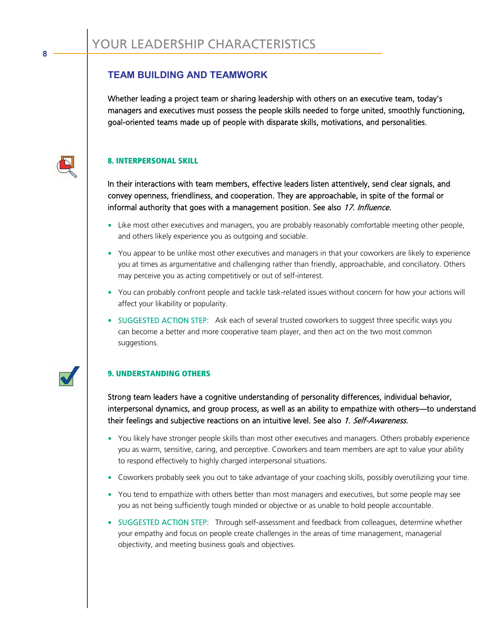## **TEAM BUILDING AND TEAMWORK**

Whether leading a project team or sharing leadership with others on an executive team, today's managers and executives must possess the people skills needed to forge united, smoothly functioning, goal-oriented teams made up of people with disparate skills, motivations, and personalities.



#### **8. INTERPERSONAL SKILL**

In their interactions with team members, effective leaders listen attentively, send clear signals, and convey openness, friendliness, and cooperation. They are approachable, in spite of the formal or informal authority that goes with a management position. See also 17. Influence.

- Like most other executives and managers, you are probably reasonably comfortable meeting other people, and others likely experience you as outgoing and sociable.
- You appear to be unlike most other executives and managers in that your coworkers are likely to experience you at times as argumentative and challenging rather than friendly, approachable, and conciliatory. Others may perceive you as acting competitively or out of self-interest.
- You can probably confront people and tackle task-related issues without concern for how your actions will affect your likability or popularity.
- SUGGESTED ACTION STEP: Ask each of several trusted coworkers to suggest three specific ways you can become a better and more cooperative team player, and then act on the two most common suggestions.

## **9. UNDERSTANDING OTHERS**

Strong team leaders have a cognitive understanding of personality differences, individual behavior, interpersonal dynamics, and group process, as well as an ability to empathize with others—to understand their feelings and subjective reactions on an intuitive level. See also 1. Self-Awareness.

- You likely have stronger people skills than most other executives and managers. Others probably experience you as warm, sensitive, caring, and perceptive. Coworkers and team members are apt to value your ability to respond effectively to highly charged interpersonal situations.
- Coworkers probably seek you out to take advantage of your coaching skills, possibly overutilizing your time.
- You tend to empathize with others better than most managers and executives, but some people may see you as not being sufficiently tough minded or objective or as unable to hold people accountable.
- SUGGESTED ACTION STEP: Through self-assessment and feedback from colleagues, determine whether your empathy and focus on people create challenges in the areas of time management, managerial objectivity, and meeting business goals and objectives.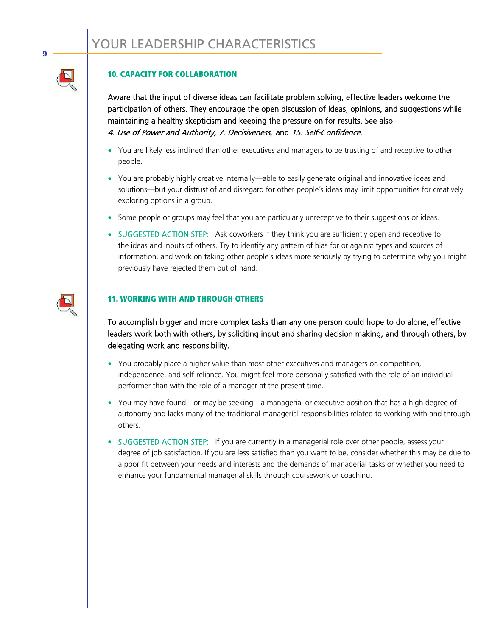#### **10. CAPACITY FOR COLLABORATION**

Aware that the input of diverse ideas can facilitate problem solving, effective leaders welcome the participation of others. They encourage the open discussion of ideas, opinions, and suggestions while maintaining a healthy skepticism and keeping the pressure on for results. See also 4. Use of Power and Authority, 7. Decisiveness, and 15. Self-Confidence.

- You are likely less inclined than other executives and managers to be trusting of and receptive to other people.
- You are probably highly creative internally—able to easily generate original and innovative ideas and solutions—but your distrust of and disregard for other people´s ideas may limit opportunities for creatively exploring options in a group.
- Some people or groups may feel that you are particularly unreceptive to their suggestions or ideas.
- SUGGESTED ACTION STEP: Ask coworkers if they think you are sufficiently open and receptive to the ideas and inputs of others. Try to identify any pattern of bias for or against types and sources of information, and work on taking other people´s ideas more seriously by trying to determine why you might previously have rejected them out of hand.

#### **11. WORKING WITH AND THROUGH OTHERS**

To accomplish bigger and more complex tasks than any one person could hope to do alone, effective leaders work both with others, by soliciting input and sharing decision making, and through others, by delegating work and responsibility.

- You probably place a higher value than most other executives and managers on competition, independence, and self-reliance. You might feel more personally satisfied with the role of an individual performer than with the role of a manager at the present time.
- You may have found—or may be seeking—a managerial or executive position that has a high degree of autonomy and lacks many of the traditional managerial responsibilities related to working with and through others.
- SUGGESTED ACTION STEP: If you are currently in a managerial role over other people, assess your degree of job satisfaction. If you are less satisfied than you want to be, consider whether this may be due to a poor fit between your needs and interests and the demands of managerial tasks or whether you need to enhance your fundamental managerial skills through coursework or coaching.



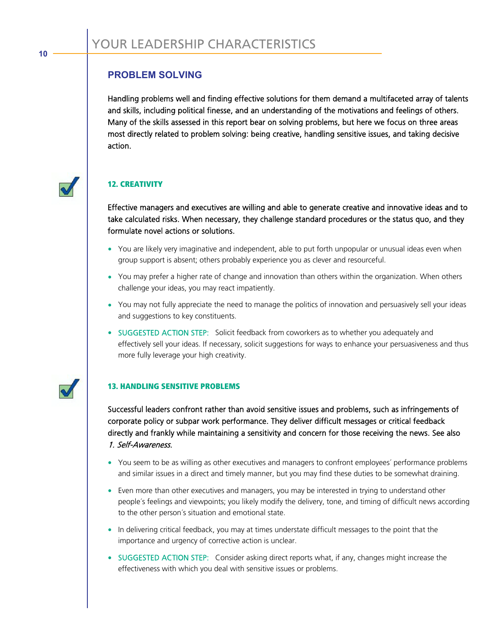## **PROBLEM SOLVING**

Handling problems well and finding effective solutions for them demand a multifaceted array of talents and skills, including political finesse, and an understanding of the motivations and feelings of others. Many of the skills assessed in this report bear on solving problems, but here we focus on three areas most directly related to problem solving: being creative, handling sensitive issues, and taking decisive action.



## **12. CREATIVITY**

Effective managers and executives are willing and able to generate creative and innovative ideas and to take calculated risks. When necessary, they challenge standard procedures or the status quo, and they formulate novel actions or solutions.

- You are likely very imaginative and independent, able to put forth unpopular or unusual ideas even when group support is absent; others probably experience you as clever and resourceful.
- You may prefer a higher rate of change and innovation than others within the organization. When others challenge your ideas, you may react impatiently.
- You may not fully appreciate the need to manage the politics of innovation and persuasively sell your ideas and suggestions to key constituents.
- SUGGESTED ACTION STEP: Solicit feedback from coworkers as to whether you adequately and effectively sell your ideas. If necessary, solicit suggestions for ways to enhance your persuasiveness and thus more fully leverage your high creativity.



### **13. HANDLING SENSITIVE PROBLEMS**

Successful leaders confront rather than avoid sensitive issues and problems, such as infringements of corporate policy or subpar work performance. They deliver difficult messages or critical feedback directly and frankly while maintaining a sensitivity and concern for those receiving the news. See also 1. Self-Awareness.

- You seem to be as willing as other executives and managers to confront employees´ performance problems and similar issues in a direct and timely manner, but you may find these duties to be somewhat draining.
- Even more than other executives and managers, you may be interested in trying to understand other people´s feelings and viewpoints; you likely modify the delivery, tone, and timing of difficult news according to the other person´s situation and emotional state.
- In delivering critical feedback, you may at times understate difficult messages to the point that the importance and urgency of corrective action is unclear.
- SUGGESTED ACTION STEP: Consider asking direct reports what, if any, changes might increase the effectiveness with which you deal with sensitive issues or problems.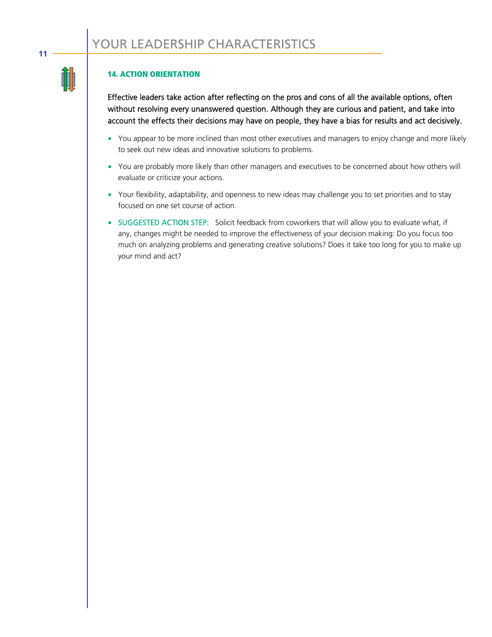### **14. ACTION ORIENTATION**

Effective leaders take action after reflecting on the pros and cons of all the available options, often without resolving every unanswered question. Although they are curious and patient, and take into account the effects their decisions may have on people, they have a bias for results and act decisively.

- You appear to be more inclined than most other executives and managers to enjoy change and more likely to seek out new ideas and innovative solutions to problems.
- You are probably more likely than other managers and executives to be concerned about how others will evaluate or criticize your actions.
- Your flexibility, adaptability, and openness to new ideas may challenge you to set priorities and to stay focused on one set course of action.
- SUGGESTED ACTION STEP: Solicit feedback from coworkers that will allow you to evaluate what, if any, changes might be needed to improve the effectiveness of your decision making: Do you focus too much on analyzing problems and generating creative solutions? Does it take too long for you to make up your mind and act?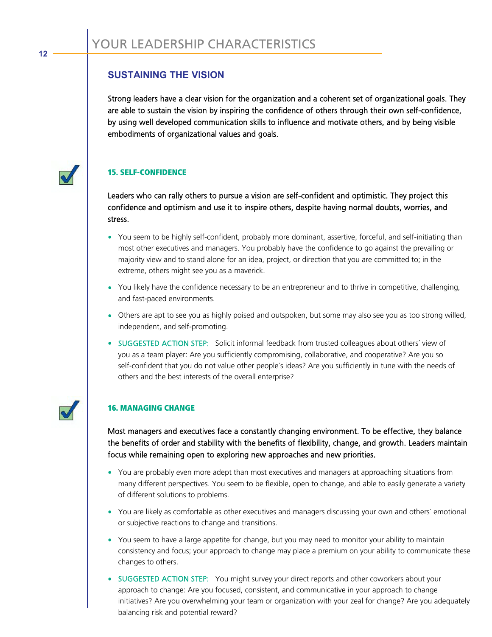## **SUSTAINING THE VISION**

Strong leaders have a clear vision for the organization and a coherent set of organizational goals. They are able to sustain the vision by inspiring the confidence of others through their own self-confidence, by using well developed communication skills to influence and motivate others, and by being visible embodiments of organizational values and goals.

## **15. SELF-CONFIDENCE**

Leaders who can rally others to pursue a vision are self-confident and optimistic. They project this confidence and optimism and use it to inspire others, despite having normal doubts, worries, and stress.

- You seem to be highly self-confident, probably more dominant, assertive, forceful, and self-initiating than most other executives and managers. You probably have the confidence to go against the prevailing or majority view and to stand alone for an idea, project, or direction that you are committed to; in the extreme, others might see you as a maverick.
- You likely have the confidence necessary to be an entrepreneur and to thrive in competitive, challenging, and fast-paced environments.
- Others are apt to see you as highly poised and outspoken, but some may also see you as too strong willed, independent, and self-promoting.
- SUGGESTED ACTION STEP: Solicit informal feedback from trusted colleagues about others´ view of you as a team player: Are you sufficiently compromising, collaborative, and cooperative? Are you so self-confident that you do not value other people´s ideas? Are you sufficiently in tune with the needs of others and the best interests of the overall enterprise?



## **16. MANAGING CHANGE**

Most managers and executives face a constantly changing environment. To be effective, they balance the benefits of order and stability with the benefits of flexibility, change, and growth. Leaders maintain focus while remaining open to exploring new approaches and new priorities.

- You are probably even more adept than most executives and managers at approaching situations from many different perspectives. You seem to be flexible, open to change, and able to easily generate a variety of different solutions to problems.
- You are likely as comfortable as other executives and managers discussing your own and others´ emotional or subjective reactions to change and transitions.
- You seem to have a large appetite for change, but you may need to monitor your ability to maintain consistency and focus; your approach to change may place a premium on your ability to communicate these changes to others.
- SUGGESTED ACTION STEP: You might survey your direct reports and other coworkers about your approach to change: Are you focused, consistent, and communicative in your approach to change initiatives? Are you overwhelming your team or organization with your zeal for change? Are you adequately balancing risk and potential reward?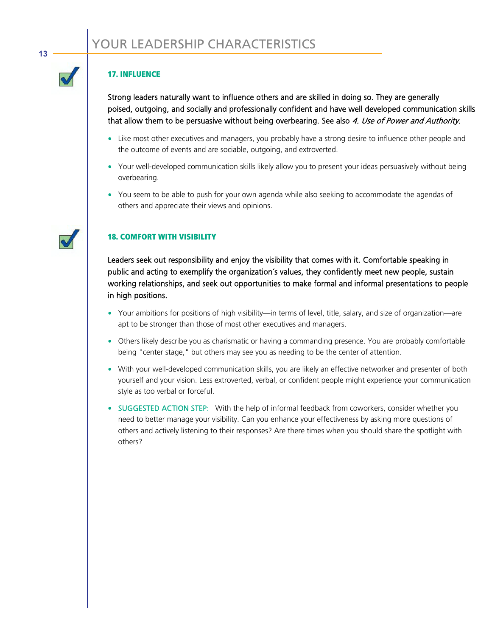#### **17. INFLUENCE**

Strong leaders naturally want to influence others and are skilled in doing so. They are generally poised, outgoing, and socially and professionally confident and have well developed communication skills that allow them to be persuasive without being overbearing. See also 4. Use of Power and Authority.

- Like most other executives and managers, you probably have a strong desire to influence other people and the outcome of events and are sociable, outgoing, and extroverted.
- Your well-developed communication skills likely allow you to present your ideas persuasively without being overbearing.
- You seem to be able to push for your own agenda while also seeking to accommodate the agendas of others and appreciate their views and opinions.

### **18. COMFORT WITH VISIBILITY**

Leaders seek out responsibility and enjoy the visibility that comes with it. Comfortable speaking in public and acting to exemplify the organization´s values, they confidently meet new people, sustain working relationships, and seek out opportunities to make formal and informal presentations to people in high positions.

- Your ambitions for positions of high visibility—in terms of level, title, salary, and size of organization—are apt to be stronger than those of most other executives and managers.
- Others likely describe you as charismatic or having a commanding presence. You are probably comfortable being "center stage," but others may see you as needing to be the center of attention.
- With your well-developed communication skills, you are likely an effective networker and presenter of both yourself and your vision. Less extroverted, verbal, or confident people might experience your communication style as too verbal or forceful.
- SUGGESTED ACTION STEP: With the help of informal feedback from coworkers, consider whether you need to better manage your visibility. Can you enhance your effectiveness by asking more questions of others and actively listening to their responses? Are there times when you should share the spotlight with others?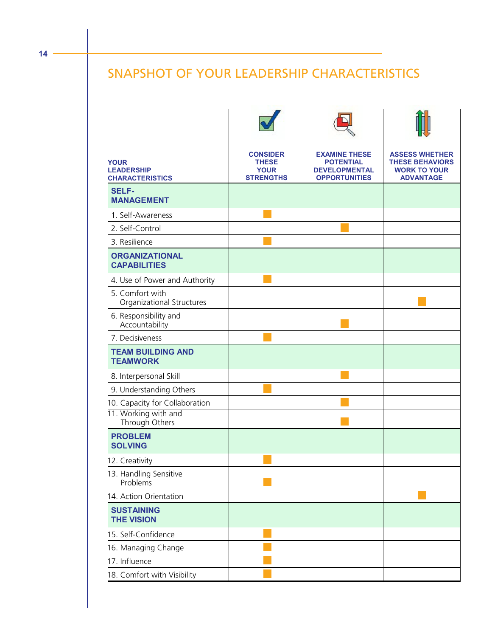# SNAPSHOT OF YOUR LEADERSHIP CHARACTERISTICS

| <b>YOUR</b><br><b>LEADERSHIP</b><br><b>CHARACTERISTICS</b> | <b>CONSIDER</b><br><b>THESE</b><br><b>YOUR</b><br><b>STRENGTHS</b> | <b>EXAMINE THESE</b><br><b>POTENTIAL</b><br><b>DEVELOPMENTAL</b><br><b>OPPORTUNITIES</b> | <b>ASSESS WHETHER</b><br><b>THESE BEHAVIORS</b><br><b>WORK TO YOUR</b><br><b>ADVANTAGE</b> |
|------------------------------------------------------------|--------------------------------------------------------------------|------------------------------------------------------------------------------------------|--------------------------------------------------------------------------------------------|
| <b>SELF-</b><br><b>MANAGEMENT</b>                          |                                                                    |                                                                                          |                                                                                            |
| 1. Self-Awareness                                          |                                                                    |                                                                                          |                                                                                            |
| 2. Self-Control                                            |                                                                    |                                                                                          |                                                                                            |
| 3. Resilience                                              |                                                                    |                                                                                          |                                                                                            |
| <b>ORGANIZATIONAL</b><br><b>CAPABILITIES</b>               |                                                                    |                                                                                          |                                                                                            |
| 4. Use of Power and Authority                              |                                                                    |                                                                                          |                                                                                            |
| 5. Comfort with<br>Organizational Structures               |                                                                    |                                                                                          |                                                                                            |
| 6. Responsibility and<br>Accountability                    |                                                                    |                                                                                          |                                                                                            |
| 7. Decisiveness                                            |                                                                    |                                                                                          |                                                                                            |
| <b>TEAM BUILDING AND</b><br><b>TEAMWORK</b>                |                                                                    |                                                                                          |                                                                                            |
| 8. Interpersonal Skill                                     |                                                                    |                                                                                          |                                                                                            |
| 9. Understanding Others                                    |                                                                    |                                                                                          |                                                                                            |
| 10. Capacity for Collaboration                             |                                                                    |                                                                                          |                                                                                            |
| 11. Working with and<br>Through Others                     |                                                                    |                                                                                          |                                                                                            |
| <b>PROBLEM</b><br><b>SOLVING</b>                           |                                                                    |                                                                                          |                                                                                            |
| 12. Creativity                                             |                                                                    |                                                                                          |                                                                                            |
| 13. Handling Sensitive<br>Problems                         |                                                                    |                                                                                          |                                                                                            |
| 14. Action Orientation                                     |                                                                    |                                                                                          |                                                                                            |
| <b>SUSTAINING</b><br><b>THE VISION</b>                     |                                                                    |                                                                                          |                                                                                            |
| 15. Self-Confidence                                        |                                                                    |                                                                                          |                                                                                            |
| 16. Managing Change                                        |                                                                    |                                                                                          |                                                                                            |
| 17. Influence                                              |                                                                    |                                                                                          |                                                                                            |
| 18. Comfort with Visibility                                |                                                                    |                                                                                          |                                                                                            |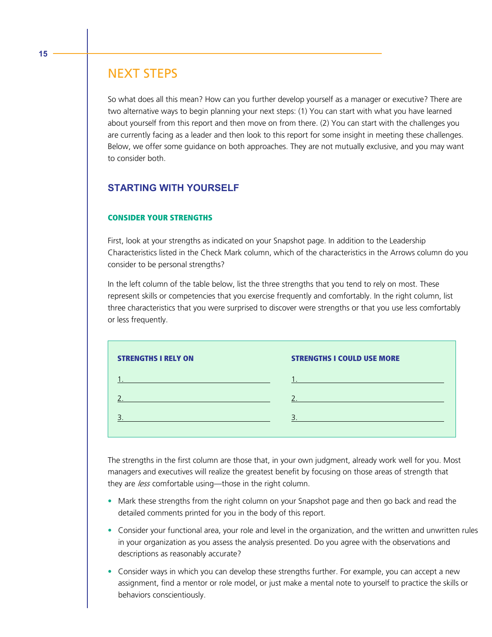# NEXT STEPS

So what does all this mean? How can you further develop yourself as a manager or executive? There are two alternative ways to begin planning your next steps: (1) You can start with what you have learned about yourself from this report and then move on from there. (2) You can start with the challenges you are currently facing as a leader and then look to this report for some insight in meeting these challenges. Below, we offer some guidance on both approaches. They are not mutually exclusive, and you may want to consider both.

## **STARTING WITH YOURSELF**

#### **CONSIDER YOUR STRENGTHS**

First, look at your strengths as indicated on your Snapshot page. In addition to the Leadership Characteristics listed in the Check Mark column, which of the characteristics in the Arrows column do you consider to be personal strengths?

In the left column of the table below, list the three strengths that you tend to rely on most. These represent skills or competencies that you exercise frequently and comfortably. In the right column, list three characteristics that you were surprised to discover were strengths or that you use less comfortably or less frequently.

| <b>STRENGTHS I RELY ON</b> | <b>STRENGTHS I COULD USE MORE</b> |
|----------------------------|-----------------------------------|
|                            | the company of the company of     |
|                            |                                   |
|                            |                                   |
|                            |                                   |

The strengths in the first column are those that, in your own judgment, already work well for you. Most managers and executives will realize the greatest benefit by focusing on those areas of strength that they are less comfortable using—those in the right column.

- Mark these strengths from the right column on your Snapshot page and then go back and read the detailed comments printed for you in the body of this report.
- Consider your functional area, your role and level in the organization, and the written and unwritten rules in your organization as you assess the analysis presented. Do you agree with the observations and descriptions as reasonably accurate?
- Consider ways in which you can develop these strengths further. For example, you can accept a new assignment, find a mentor or role model, or just make a mental note to yourself to practice the skills or behaviors conscientiously.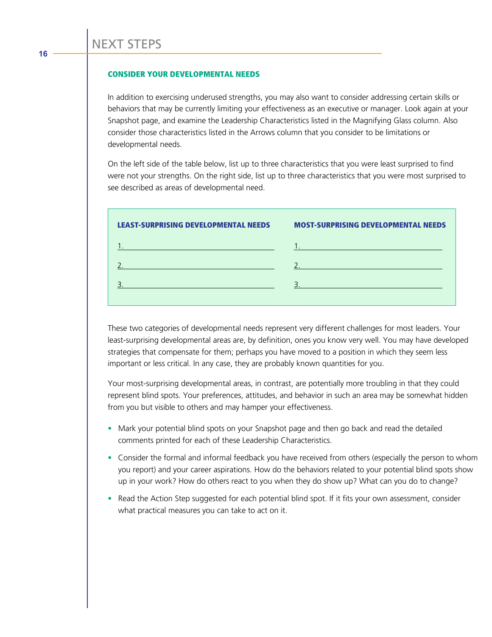#### **CONSIDER YOUR DEVELOPMENTAL NEEDS**

In addition to exercising underused strengths, you may also want to consider addressing certain skills or behaviors that may be currently limiting your effectiveness as an executive or manager. Look again at your Snapshot page, and examine the Leadership Characteristics listed in the Magnifying Glass column. Also consider those characteristics listed in the Arrows column that you consider to be limitations or developmental needs.

On the left side of the table below, list up to three characteristics that you were least surprised to find were not your strengths. On the right side, list up to three characteristics that you were most surprised to see described as areas of developmental need.

| <b>LEAST-SURPRISING DEVELOPMENTAL NEEDS</b>                                                                      | <b>MOST-SURPRISING DEVELOPMENTAL NEEDS</b>                                                                                                                                                                                      |
|------------------------------------------------------------------------------------------------------------------|---------------------------------------------------------------------------------------------------------------------------------------------------------------------------------------------------------------------------------|
| and the control of the control of the control of the control of the control of the control of the control of the | a sa kabilang sa kabilang sa pag-agamatan ng mga sanggunang sa pag-agamatan ng mga sanggunang sa pag-agamatan<br>Mga sanggunang sa pag-agamatan ng mga sanggunang sa pag-agamatan ng mga sanggunang sa pag-agamatan ng mga sang |
| a sa kacamatan ing Kabupatèn Kabupatèn Kabupatèn Kabupatèn Kabupatèn Kabupatèn Kabupatèn Kabupatèn Kabupatèn K   |                                                                                                                                                                                                                                 |
|                                                                                                                  | a sa kacamatan ing Kabupatèn Kabupatèn Kabupatèn Kabupatèn Kabupatèn Kabupatèn Kabupatèn Kabupatèn Kabupatèn K                                                                                                                  |
|                                                                                                                  |                                                                                                                                                                                                                                 |

These two categories of developmental needs represent very different challenges for most leaders. Your least-surprising developmental areas are, by definition, ones you know very well. You may have developed strategies that compensate for them; perhaps you have moved to a position in which they seem less important or less critical. In any case, they are probably known quantities for you.

Your most-surprising developmental areas, in contrast, are potentially more troubling in that they could represent blind spots. Your preferences, attitudes, and behavior in such an area may be somewhat hidden from you but visible to others and may hamper your effectiveness.

- Mark your potential blind spots on your Snapshot page and then go back and read the detailed comments printed for each of these Leadership Characteristics.
- Consider the formal and informal feedback you have received from others (especially the person to whom you report) and your career aspirations. How do the behaviors related to your potential blind spots show up in your work? How do others react to you when they do show up? What can you do to change?
- Read the Action Step suggested for each potential blind spot. If it fits your own assessment, consider what practical measures you can take to act on it.